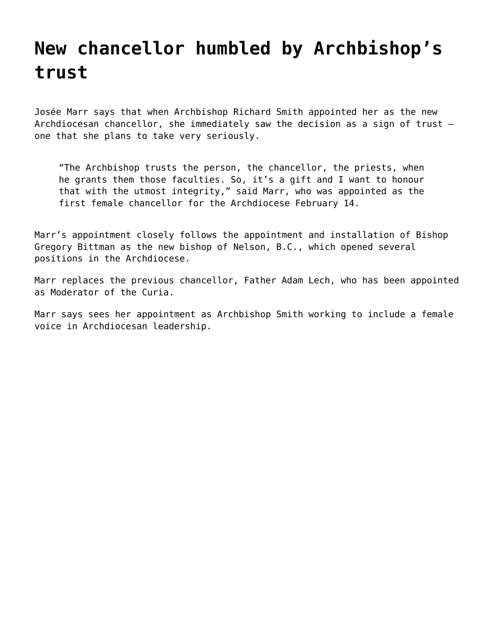## **[New chancellor humbled by Archbishop's](https://grandinmedia.ca/new-chancellor-humbled-archbishops-trust/) [trust](https://grandinmedia.ca/new-chancellor-humbled-archbishops-trust/)**

Josée Marr says that when Archbishop Richard Smith appointed her as the new Archdiocesan chancellor, she immediately saw the decision as a sign of trust one that she plans to take very seriously.

"The Archbishop trusts the person, the chancellor, the priests, when he grants them those faculties. So, it's a gift and I want to honour that with the utmost integrity," said Marr, who was appointed as the first female chancellor for the Archdiocese February 14.

Marr's appointment closely follows the appointment and installation of Bishop Gregory Bittman as the new bishop of Nelson, B.C., which opened several positions in the Archdiocese.

Marr replaces the previous chancellor, Father Adam Lech, who has been appointed as Moderator of the Curia.

Marr says sees her appointment as Archbishop Smith working to include a female voice in Archdiocesan leadership.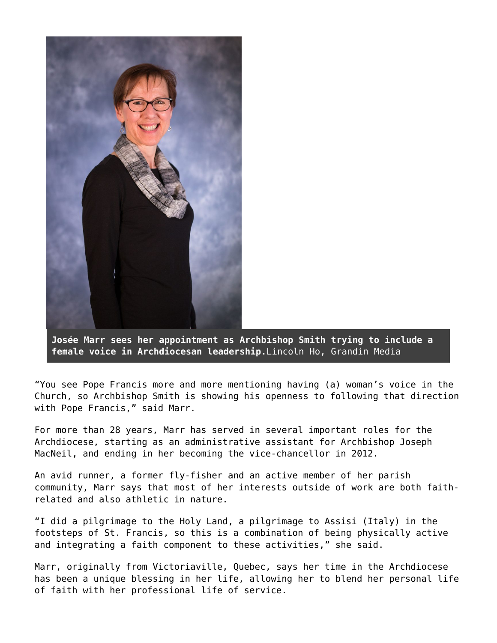

**Josée Marr sees her appointment as Archbishop Smith trying to include a female voice in Archdiocesan leadership.**Lincoln Ho, Grandin Media

"You see Pope Francis more and more mentioning having (a) woman's voice in the Church, so Archbishop Smith is showing his openness to following that direction with Pope Francis," said Marr.

For more than 28 years, Marr has served in several important roles for the Archdiocese, starting as an administrative assistant for Archbishop Joseph MacNeil, and ending in her becoming the vice-chancellor in 2012.

An avid runner, a former fly-fisher and an active member of her parish community, Marr says that most of her interests outside of work are both faithrelated and also athletic in nature.

"I did a pilgrimage to the Holy Land, a pilgrimage to Assisi (Italy) in the footsteps of St. Francis, so this is a combination of being physically active and integrating a faith component to these activities," she said.

Marr, originally from Victoriaville, Quebec, says her time in the Archdiocese has been a unique blessing in her life, allowing her to blend her personal life of faith with her professional life of service.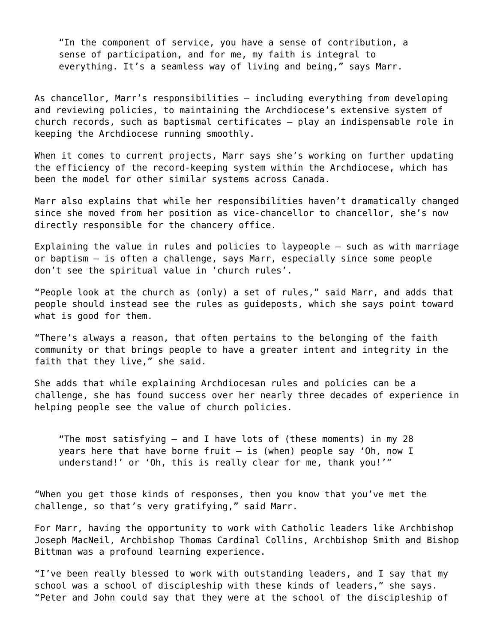"In the component of service, you have a sense of contribution, a sense of participation, and for me, my faith is integral to everything. It's a seamless way of living and being," says Marr.

As chancellor, Marr's responsibilities — including everything from developing and reviewing policies, to maintaining the Archdiocese's extensive system of church records, such as baptismal certificates — play an indispensable role in keeping the Archdiocese running smoothly.

When it comes to current projects, Marr says she's working on further updating the efficiency of the record-keeping system within the Archdiocese, which has been the model for other similar systems across Canada.

Marr also explains that while her responsibilities haven't dramatically changed since she moved from her position as vice-chancellor to chancellor, she's now directly responsible for the chancery office.

Explaining the value in rules and policies to laypeople — such as with marriage or baptism — is often a challenge, says Marr, especially since some people don't see the spiritual value in 'church rules'.

"People look at the church as (only) a set of rules," said Marr, and adds that people should instead see the rules as guideposts, which she says point toward what is good for them.

"There's always a reason, that often pertains to the belonging of the faith community or that brings people to have a greater intent and integrity in the faith that they live," she said.

She adds that while explaining Archdiocesan rules and policies can be a challenge, she has found success over her nearly three decades of experience in helping people see the value of church policies.

"The most satisfying — and I have lots of (these moments) in my 28 years here that have borne fruit  $-$  is (when) people say 'Oh, now I understand!' or 'Oh, this is really clear for me, thank you!'"

"When you get those kinds of responses, then you know that you've met the challenge, so that's very gratifying," said Marr.

For Marr, having the opportunity to work with Catholic leaders like Archbishop Joseph MacNeil, Archbishop Thomas Cardinal Collins, Archbishop Smith and Bishop Bittman was a profound learning experience.

"I've been really blessed to work with outstanding leaders, and I say that my school was a school of discipleship with these kinds of leaders," she says. "Peter and John could say that they were at the school of the discipleship of